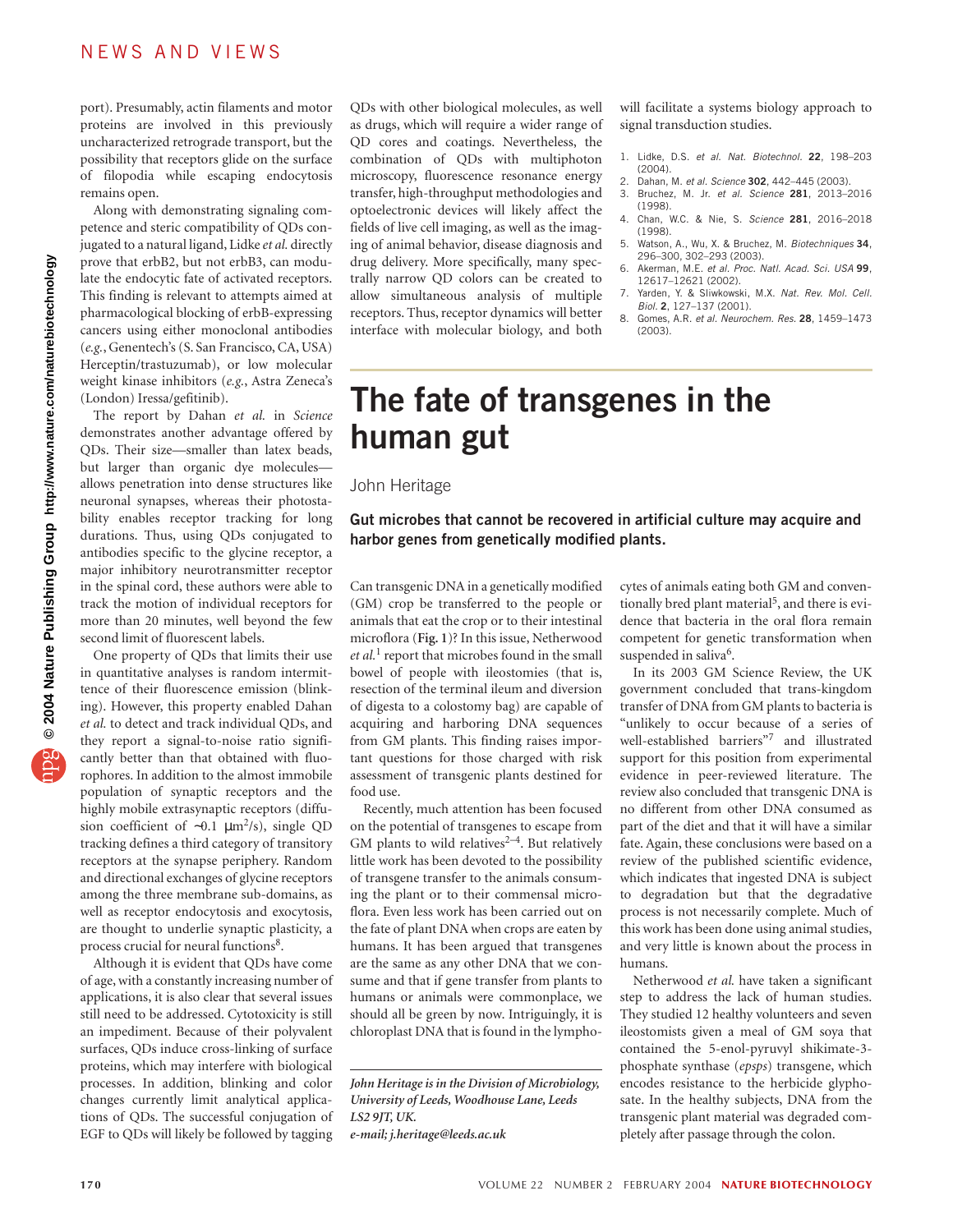port). Presumably, actin filaments and motor proteins are involved in this previously uncharacterized retrograde transport, but the possibility that receptors glide on the surface of filopodia while escaping endocytosis remains open.

Along with demonstrating signaling competence and steric compatibility of QDs conjugated to a natural ligand, Lidke *et al.* directly prove that erbB2, but not erbB3, can modulate the endocytic fate of activated receptors. This finding is relevant to attempts aimed at pharmacological blocking of erbB-expressing cancers using either monoclonal antibodies (*e.g.*, Genentech's (S. San Francisco, CA, USA) Herceptin/trastuzumab), or low molecular weight kinase inhibitors (*e.g.*, Astra Zeneca's (London) Iressa/gefitinib).

The report by Dahan *et al.* in *Science* demonstrates another advantage offered by QDs. Their size—smaller than latex beads, but larger than organic dye molecules allows penetration into dense structures like neuronal synapses, whereas their photostability enables receptor tracking for long durations. Thus, using QDs conjugated to antibodies specific to the glycine receptor, a major inhibitory neurotransmitter receptor in the spinal cord, these authors were able to track the motion of individual receptors for more than 20 minutes, well beyond the few second limit of fluorescent labels.

One property of QDs that limits their use in quantitative analyses is random intermittence of their fluorescence emission (blinking). However, this property enabled Dahan *et al.* to detect and track individual QDs, and they report a signal-to-noise ratio significantly better than that obtained with fluorophores. In addition to the almost immobile population of synaptic receptors and the highly mobile extrasynaptic receptors (diffusion coefficient of ∼0.1 µm2/s), single QD tracking defines a third category of transitory receptors at the synapse periphery. Random and directional exchanges of glycine receptors among the three membrane sub-domains, as well as receptor endocytosis and exocytosis, are thought to underlie synaptic plasticity, a process crucial for neural functions<sup>8</sup>.

Although it is evident that QDs have come of age, with a constantly increasing number of applications, it is also clear that several issues still need to be addressed. Cytotoxicity is still an impediment. Because of their polyvalent surfaces, QDs induce cross-linking of surface proteins, which may interfere with biological processes. In addition, blinking and color changes currently limit analytical applications of QDs. The successful conjugation of EGF to QDs will likely be followed by tagging QDs with other biological molecules, as well as drugs, which will require a wider range of QD cores and coatings. Nevertheless, the combination of QDs with multiphoton microscopy, fluorescence resonance energy transfer, high-throughput methodologies and optoelectronic devices will likely affect the fields of live cell imaging, as well as the imaging of animal behavior, disease diagnosis and drug delivery. More specifically, many spectrally narrow QD colors can be created to allow simultaneous analysis of multiple receptors. Thus, receptor dynamics will better interface with molecular biology, and both

will facilitate a systems biology approach to signal transduction studies.

- 1. Lidke, D.S. *et al. Nat. Biotechnol.* **22**, 198–203  $(2004)$
- 2. Dahan, M. *et al. Science* **302**, 442–445 (2003).
- 3. Bruchez, M. Jr. *et al. Science* **281**, 2013–2016 (1998).
- 4. Chan, W.C. & Nie, S. *Science* **281**, 2016–2018 (1998).
- 5. Watson, A., Wu, X. & Bruchez, M. *Biotechniques* **34**, 296–300, 302–293 (2003). 6. Akerman, M.E. *et al. Proc. Natl. Acad. Sci. USA* **99**,
- 12617–12621 (2002).
- 7. Yarden, Y. & Sliwkowski, M.X. *Nat. Rev. Mol. Cell. Biol.* **2**, 127–137 (2001).
- 8. Gomes, A.R. *et al. Neurochem. Res.* **28**, 1459–1473 (2003).

## **The fate of transgenes in the human gut**

John Heritage

## **Gut microbes that cannot be recovered in artificial culture may acquire and harbor genes from genetically modified plants.**

Can transgenic DNA in a genetically modified (GM) crop be transferred to the people or animals that eat the crop or to their intestinal microflora (**Fig. 1**)? In this issue, Netherwood *et al.*<sup>1</sup> report that microbes found in the small bowel of people with ileostomies (that is, resection of the terminal ileum and diversion of digesta to a colostomy bag) are capable of acquiring and harboring DNA sequences from GM plants. This finding raises important questions for those charged with risk assessment of transgenic plants destined for food use.

Recently, much attention has been focused on the potential of transgenes to escape from GM plants to wild relatives<sup> $2-4$ </sup>. But relatively little work has been devoted to the possibility of transgene transfer to the animals consuming the plant or to their commensal microflora. Even less work has been carried out on the fate of plant DNA when crops are eaten by humans. It has been argued that transgenes are the same as any other DNA that we consume and that if gene transfer from plants to humans or animals were commonplace, we should all be green by now. Intriguingly, it is chloroplast DNA that is found in the lymphocytes of animals eating both GM and conventionally bred plant material<sup>5</sup>, and there is evidence that bacteria in the oral flora remain competent for genetic transformation when suspended in saliva<sup>6</sup>.

In its 2003 GM Science Review, the UK government concluded that trans-kingdom transfer of DNA from GM plants to bacteria is "unlikely to occur because of a series of well-established barriers"<sup>7</sup> and illustrated support for this position from experimental evidence in peer-reviewed literature. The review also concluded that transgenic DNA is no different from other DNA consumed as part of the diet and that it will have a similar fate. Again, these conclusions were based on a review of the published scientific evidence, which indicates that ingested DNA is subject to degradation but that the degradative process is not necessarily complete. Much of this work has been done using animal studies, and very little is known about the process in humans.

Netherwood *et al.* have taken a significant step to address the lack of human studies. They studied 12 healthy volunteers and seven ileostomists given a meal of GM soya that contained the 5-enol-pyruvyl shikimate-3 phosphate synthase (*epsps*) transgene, which encodes resistance to the herbicide glyphosate. In the healthy subjects, DNA from the transgenic plant material was degraded completely after passage through the colon.

*John Heritage is in the Division of Microbiology, University of Leeds, Woodhouse Lane, Leeds LS2 9JT, UK. e-mail; j.heritage@leeds.ac.uk*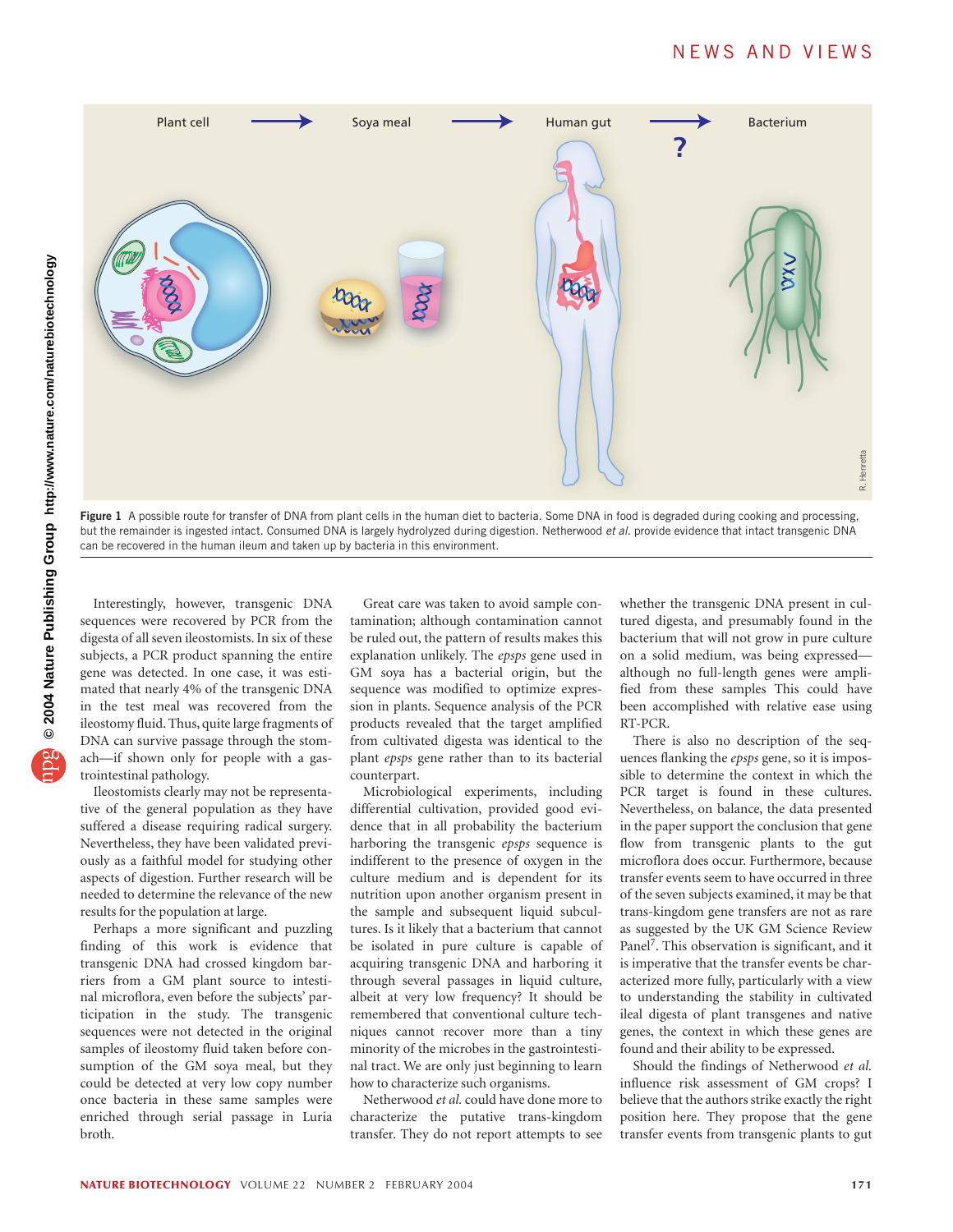## NEWS AND VIEWS



Interestingly, however, transgenic DNA sequences were recovered by PCR from the digesta of all seven ileostomists. In six of these subjects, a PCR product spanning the entire gene was detected. In one case, it was estimated that nearly 4% of the transgenic DNA in the test meal was recovered from the ileostomy fluid. Thus, quite large fragments of DNA can survive passage through the stomach—if shown only for people with a gastrointestinal pathology.

Ileostomists clearly may not be representative of the general population as they have suffered a disease requiring radical surgery. Nevertheless, they have been validated previously as a faithful model for studying other aspects of digestion. Further research will be needed to determine the relevance of the new results for the population at large.

Perhaps a more significant and puzzling finding of this work is evidence that transgenic DNA had crossed kingdom barriers from a GM plant source to intestinal microflora, even before the subjects' participation in the study. The transgenic sequences were not detected in the original samples of ileostomy fluid taken before consumption of the GM soya meal, but they could be detected at very low copy number once bacteria in these same samples were enriched through serial passage in Luria broth.

Great care was taken to avoid sample contamination; although contamination cannot be ruled out, the pattern of results makes this explanation unlikely. The *epsps* gene used in GM soya has a bacterial origin, but the sequence was modified to optimize expression in plants. Sequence analysis of the PCR products revealed that the target amplified from cultivated digesta was identical to the plant *epsps* gene rather than to its bacterial counterpart.

Microbiological experiments, including differential cultivation, provided good evidence that in all probability the bacterium harboring the transgenic *epsps* sequence is indifferent to the presence of oxygen in the culture medium and is dependent for its nutrition upon another organism present in the sample and subsequent liquid subcultures. Is it likely that a bacterium that cannot be isolated in pure culture is capable of acquiring transgenic DNA and harboring it through several passages in liquid culture, albeit at very low frequency? It should be remembered that conventional culture techniques cannot recover more than a tiny minority of the microbes in the gastrointestinal tract. We are only just beginning to learn how to characterize such organisms.

Netherwood *et al.* could have done more to characterize the putative trans-kingdom transfer. They do not report attempts to see

whether the transgenic DNA present in cultured digesta, and presumably found in the bacterium that will not grow in pure culture on a solid medium, was being expressed although no full-length genes were amplified from these samples This could have been accomplished with relative ease using RT-PCR.

There is also no description of the sequences flanking the *epsps* gene, so it is impossible to determine the context in which the PCR target is found in these cultures. Nevertheless, on balance, the data presented in the paper support the conclusion that gene flow from transgenic plants to the gut microflora does occur. Furthermore, because transfer events seem to have occurred in three of the seven subjects examined, it may be that trans-kingdom gene transfers are not as rare as suggested by the UK GM Science Review Panel<sup>7</sup>. This observation is significant, and it is imperative that the transfer events be characterized more fully, particularly with a view to understanding the stability in cultivated ileal digesta of plant transgenes and native genes, the context in which these genes are found and their ability to be expressed.

Should the findings of Netherwood *et al.* influence risk assessment of GM crops? I believe that the authors strike exactly the right position here. They propose that the gene transfer events from transgenic plants to gut